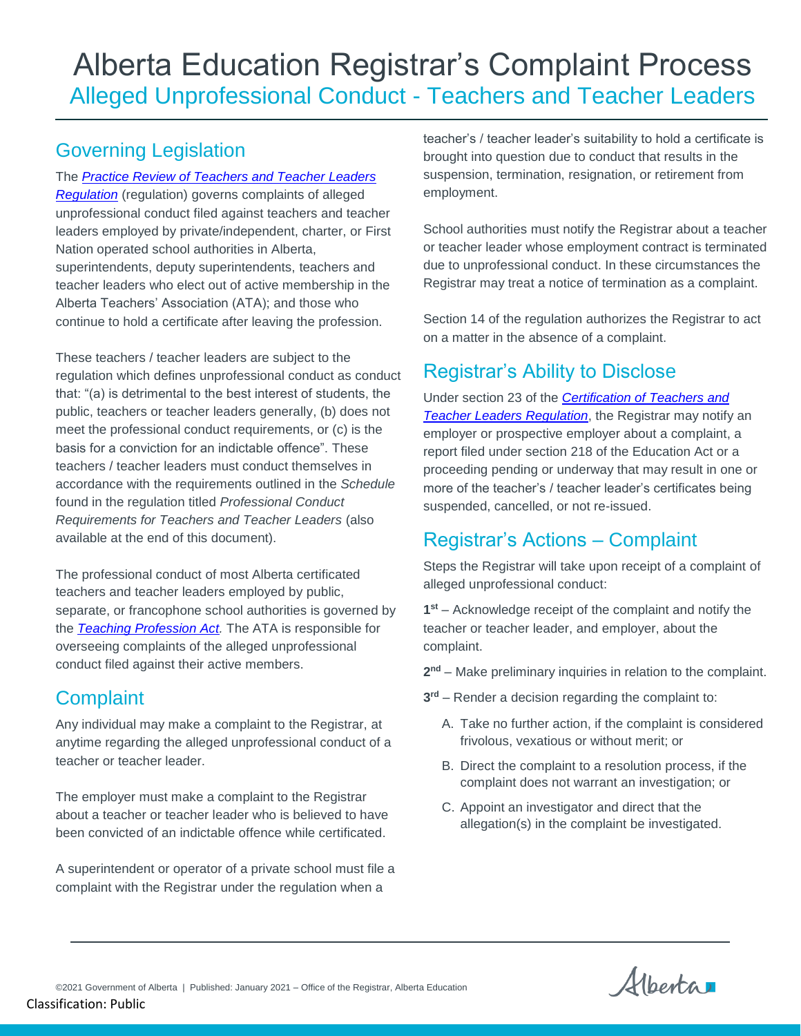# Alberta Education Registrar's Complaint Process Alleged Unprofessional Conduct - Teachers and Teacher Leaders

# Governing Legislation

The *[Practice Review of Teachers and Teacher Leaders](file://///Goa/shared/EDC/SE/TLE_TM/___TLE-Sector-Office%20of%20the%20Registrar/Katherine/Legislation%20Policy%20and%20Standards/PRTTLR.pdf)  [Regulation](file://///Goa/shared/EDC/SE/TLE_TM/___TLE-Sector-Office%20of%20the%20Registrar/Katherine/Legislation%20Policy%20and%20Standards/PRTTLR.pdf)* (regulation) governs complaints of alleged unprofessional conduct filed against teachers and teacher leaders employed by private/independent, charter, or First Nation operated school authorities in Alberta, superintendents, deputy superintendents, teachers and teacher leaders who elect out of active membership in the Alberta Teachers' Association (ATA); and those who continue to hold a certificate after leaving the profession.

These teachers / teacher leaders are subject to the regulation which defines unprofessional conduct as conduct that: "(a) is detrimental to the best interest of students, the public, teachers or teacher leaders generally, (b) does not meet the professional conduct requirements, or (c) is the basis for a conviction for an indictable offence". These teachers / teacher leaders must conduct themselves in accordance with the requirements outlined in the *Schedule*  found in the regulation titled *Professional Conduct Requirements for Teachers and Teacher Leaders* (also available at the end of this document).

The professional conduct of most Alberta certificated teachers and teacher leaders employed by public, separate, or francophone school authorities is governed by the *[Teaching Profession Act.](file://///GOA.ds.gov.ab.ca/SHARED/CPE/SE/TLE_TM/___TLE-Sector-Office%20of%20the%20Registrar/Katherine/Legislation%20Policy%20and%20Standards/Teaching%20Profession%20Act.pdf)* The ATA is responsible for overseeing complaints of the alleged unprofessional conduct filed against their active members.

# **Complaint**

Any individual may make a complaint to the Registrar, at anytime regarding the alleged unprofessional conduct of a teacher or teacher leader.

The employer must make a complaint to the Registrar about a teacher or teacher leader who is believed to have been convicted of an indictable offence while certificated.

A superintendent or operator of a private school must file a complaint with the Registrar under the regulation when a

teacher's / teacher leader's suitability to hold a certificate is brought into question due to conduct that results in the suspension, termination, resignation, or retirement from employment.

School authorities must notify the Registrar about a teacher or teacher leader whose employment contract is terminated due to unprofessional conduct. In these circumstances the Registrar may treat a notice of termination as a complaint.

Section 14 of the regulation authorizes the Registrar to act on a matter in the absence of a complaint.

# Registrar's Ability to Disclose

Under section 23 of the *[Certification of Teachers and](file://///Goa/shared/EDC/SE/TLE_TM/___TLE-Sector-Office%20of%20the%20Registrar/Katherine/Legislation%20Policy%20and%20Standards/CTTLR.pdf)  [Teacher Leaders Regulation](file://///Goa/shared/EDC/SE/TLE_TM/___TLE-Sector-Office%20of%20the%20Registrar/Katherine/Legislation%20Policy%20and%20Standards/CTTLR.pdf)*, the Registrar may notify an employer or prospective employer about a complaint, a report filed under section 218 of the Education Act or a proceeding pending or underway that may result in one or more of the teacher's / teacher leader's certificates being suspended, cancelled, or not re-issued.

# Registrar's Actions – Complaint

Steps the Registrar will take upon receipt of a complaint of alleged unprofessional conduct:

**1 st** – Acknowledge receipt of the complaint and notify the teacher or teacher leader, and employer, about the complaint.

**2 nd** – Make preliminary inquiries in relation to the complaint.

- **3 rd** Render a decision regarding the complaint to:
	- A. Take no further action, if the complaint is considered frivolous, vexatious or without merit; or
	- B. Direct the complaint to a resolution process, if the complaint does not warrant an investigation; or
	- C. Appoint an investigator and direct that the allegation(s) in the complaint be investigated.

Alberta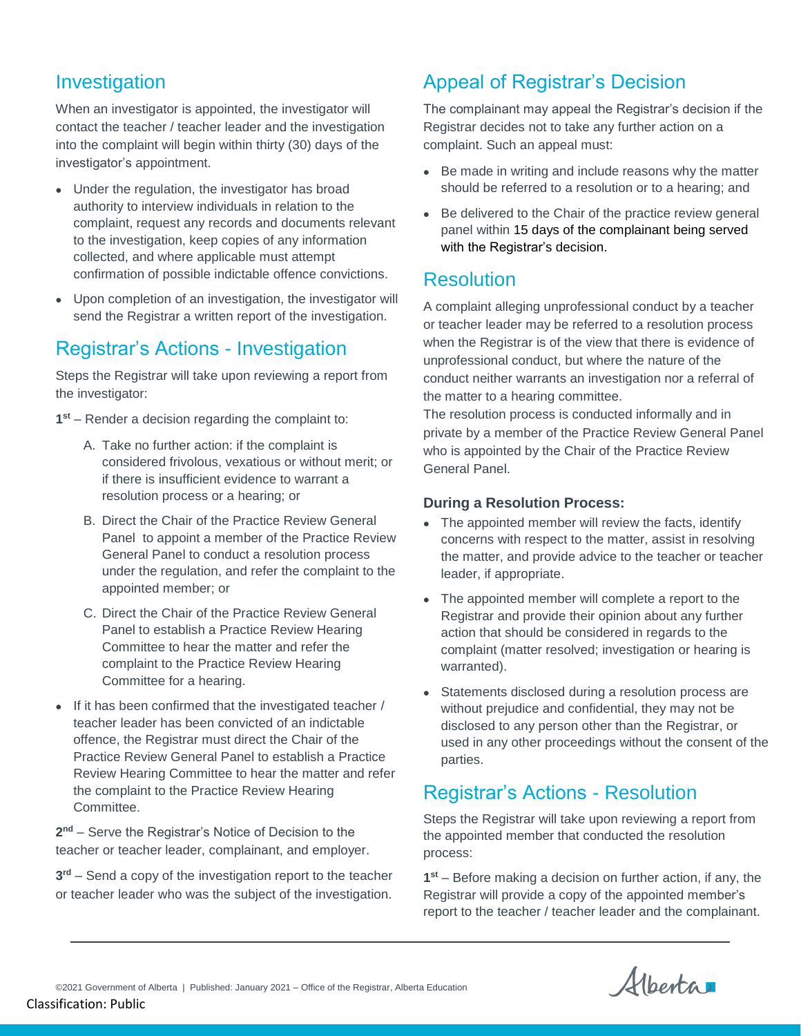### Investigation

When an investigator is appointed, the investigator will contact the teacher / teacher leader and the investigation into the complaint will begin within thirty (30) days of the investigator's appointment.

- Under the regulation, the investigator has broad authority to interview individuals in relation to the complaint, request any records and documents relevant to the investigation, keep copies of any information collected, and where applicable must attempt confirmation of possible indictable offence convictions.
- Upon completion of an investigation, the investigator will send the Registrar a written report of the investigation.

### Registrar's Actions - Investigation

Steps the Registrar will take upon reviewing a report from the investigator:

- **1 st** Render a decision regarding the complaint to:
	- A. Take no further action: if the complaint is considered frivolous, vexatious or without merit; or if there is insufficient evidence to warrant a resolution process or a hearing; or
	- B. Direct the Chair of the Practice Review General Panel to appoint a member of the Practice Review General Panel to conduct a resolution process under the regulation, and refer the complaint to the appointed member; or
	- C. Direct the Chair of the Practice Review General Panel to establish a Practice Review Hearing Committee to hear the matter and refer the complaint to the Practice Review Hearing Committee for a hearing.
- If it has been confirmed that the investigated teacher / teacher leader has been convicted of an indictable offence, the Registrar must direct the Chair of the Practice Review General Panel to establish a Practice Review Hearing Committee to hear the matter and refer the complaint to the Practice Review Hearing Committee.

**2 nd** – Serve the Registrar's Notice of Decision to the teacher or teacher leader, complainant, and employer.

**3 rd** – Send a copy of the investigation report to the teacher or teacher leader who was the subject of the investigation.

### Appeal of Registrar's Decision

The complainant may appeal the Registrar's decision if the Registrar decides not to take any further action on a complaint. Such an appeal must:

- Be made in writing and include reasons why the matter should be referred to a resolution or to a hearing; and
- Be delivered to the Chair of the practice review general panel within 15 days of the complainant being served with the Registrar's decision.

### Resolution

A complaint alleging unprofessional conduct by a teacher or teacher leader may be referred to a resolution process when the Registrar is of the view that there is evidence of unprofessional conduct, but where the nature of the conduct neither warrants an investigation nor a referral of the matter to a hearing committee.

The resolution process is conducted informally and in private by a member of the Practice Review General Panel who is appointed by the Chair of the Practice Review General Panel.

#### **During a Resolution Process:**

- The appointed member will review the facts, identify concerns with respect to the matter, assist in resolving the matter, and provide advice to the teacher or teacher leader, if appropriate.
- The appointed member will complete a report to the Registrar and provide their opinion about any further action that should be considered in regards to the complaint (matter resolved; investigation or hearing is warranted).
- Statements disclosed during a resolution process are without prejudice and confidential, they may not be disclosed to any person other than the Registrar, or used in any other proceedings without the consent of the parties.

# Registrar's Actions - Resolution

Steps the Registrar will take upon reviewing a report from the appointed member that conducted the resolution process:

**1 st** – Before making a decision on further action, if any, the Registrar will provide a copy of the appointed member's report to the teacher / teacher leader and the complainant.

Alberta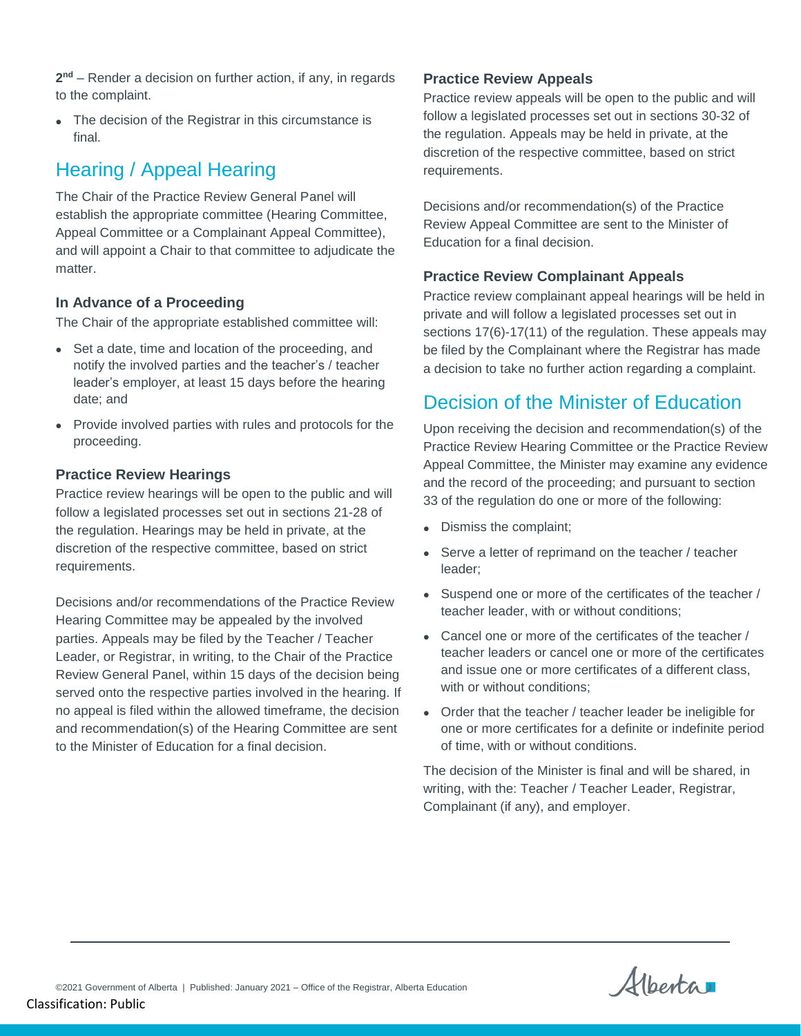**2 nd** – Render a decision on further action, if any, in regards to the complaint.

• The decision of the Registrar in this circumstance is final.

### Hearing / Appeal Hearing

The Chair of the Practice Review General Panel will establish the appropriate committee (Hearing Committee, Appeal Committee or a Complainant Appeal Committee), and will appoint a Chair to that committee to adjudicate the matter.

#### **In Advance of a Proceeding**

The Chair of the appropriate established committee will:

- Set a date, time and location of the proceeding, and notify the involved parties and the teacher's / teacher leader's employer, at least 15 days before the hearing date; and
- Provide involved parties with rules and protocols for the proceeding.

#### **Practice Review Hearings**

Practice review hearings will be open to the public and will follow a legislated processes set out in sections 21-28 of the regulation. Hearings may be held in private, at the discretion of the respective committee, based on strict requirements.

Decisions and/or recommendations of the Practice Review Hearing Committee may be appealed by the involved parties. Appeals may be filed by the Teacher / Teacher Leader, or Registrar, in writing, to the Chair of the Practice Review General Panel, within 15 days of the decision being served onto the respective parties involved in the hearing. If no appeal is filed within the allowed timeframe, the decision and recommendation(s) of the Hearing Committee are sent to the Minister of Education for a final decision.

#### **Practice Review Appeals**

Practice review appeals will be open to the public and will follow a legislated processes set out in sections 30-32 of the regulation. Appeals may be held in private, at the discretion of the respective committee, based on strict requirements.

Decisions and/or recommendation(s) of the Practice Review Appeal Committee are sent to the Minister of Education for a final decision.

#### **Practice Review Complainant Appeals**

Practice review complainant appeal hearings will be held in private and will follow a legislated processes set out in sections 17(6)-17(11) of the regulation. These appeals may be filed by the Complainant where the Registrar has made a decision to take no further action regarding a complaint.

### Decision of the Minister of Education

Upon receiving the decision and recommendation(s) of the Practice Review Hearing Committee or the Practice Review Appeal Committee, the Minister may examine any evidence and the record of the proceeding; and pursuant to section 33 of the regulation do one or more of the following:

- Dismiss the complaint;
- Serve a letter of reprimand on the teacher / teacher leader;
- Suspend one or more of the certificates of the teacher / teacher leader, with or without conditions;
- Cancel one or more of the certificates of the teacher / teacher leaders or cancel one or more of the certificates and issue one or more certificates of a different class, with or without conditions;
- Order that the teacher / teacher leader be ineligible for one or more certificates for a definite or indefinite period of time, with or without conditions.

The decision of the Minister is final and will be shared, in writing, with the: Teacher / Teacher Leader, Registrar, Complainant (if any), and employer.

Alberta